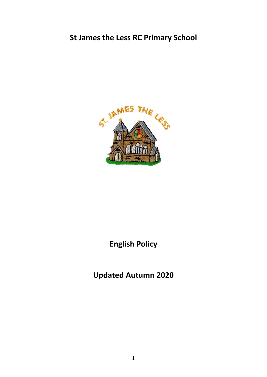# **St James the Less RC Primary School**



# **English Policy**

**Updated Autumn 2020**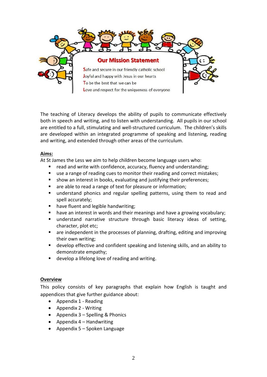

The teaching of Literacy develops the ability of pupils to communicate effectively both in speech and writing, and to listen with understanding. All pupils in our school are entitled to a full, stimulating and well-structured curriculum. The children's skills are developed within an integrated programme of speaking and listening, reading and writing, and extended through other areas of the curriculum.

## **Aims:**

At St James the Less we aim to help children become language users who:

- read and write with confidence, accuracy, fluency and understanding;
- use a range of reading cues to monitor their reading and correct mistakes;
- show an interest in books, evaluating and justifying their preferences;
- are able to read a range of text for pleasure or information;
- understand phonics and regular spelling patterns, using them to read and spell accurately;
- have fluent and legible handwriting;
- have an interest in words and their meanings and have a growing vocabulary;
- understand narrative structure through basic literacy ideas of setting, character, plot etc;
- are independent in the processes of planning, drafting, editing and improving their own writing;
- develop effective and confident speaking and listening skills, and an ability to demonstrate empathy;
- develop a lifelong love of reading and writing.

#### **Overview**

This policy consists of key paragraphs that explain how English is taught and appendices that give further guidance about:

- Appendix 1 Reading
- Appendix 2 Writing
- Appendix  $3$  Spelling & Phonics
- Appendix  $4$  Handwriting
- Appendix  $5 -$ Spoken Language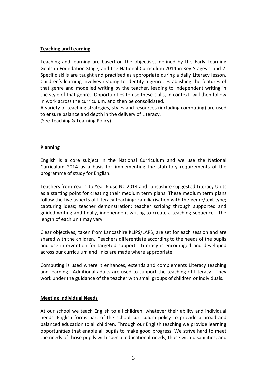## **Teaching and Learning**

Teaching and learning are based on the objectives defined by the Early Learning Goals in Foundation Stage, and the National Curriculum 2014 in Key Stages 1 and 2. Specific skills are taught and practised as appropriate during a daily Literacy lesson. Children's learning involves reading to identify a genre, establishing the features of that genre and modelled writing by the teacher, leading to independent writing in the style of that genre. Opportunities to use these skills, in context, will then follow in work across the curriculum, and then be consolidated.

A variety of teaching strategies, styles and resources (including computing) are used to ensure balance and depth in the delivery of Literacy.

(See Teaching & Learning Policy)

#### **Planning**

English is a core subject in the National Curriculum and we use the National Curriculum 2014 as a basis for implementing the statutory requirements of the programme of study for English.

Teachers from Year 1 to Year 6 use NC 2014 and Lancashire suggested Literacy Units as a starting point for creating their medium term plans. These medium term plans follow the five aspects of Literacy teaching: Familiarisation with the genre/text type; capturing ideas; teacher demonstration; teacher scribing through supported and guided writing and finally, independent writing to create a teaching sequence. The length of each unit may vary.

Clear objectives, taken from Lancashire KLIPS/LAPS, are set for each session and are shared with the children. Teachers differentiate according to the needs of the pupils and use intervention for targeted support. Literacy is encouraged and developed across our curriculum and links are made where appropriate.

Computing is used where it enhances, extends and complements Literacy teaching and learning. Additional adults are used to support the teaching of Literacy. They work under the guidance of the teacher with small groups of children or individuals.

#### **Meeting Individual Needs**

At our school we teach English to all children, whatever their ability and individual needs. English forms part of the school curriculum policy to provide a broad and balanced education to all children. Through our English teaching we provide learning opportunities that enable all pupils to make good progress. We strive hard to meet the needs of those pupils with special educational needs, those with disabilities, and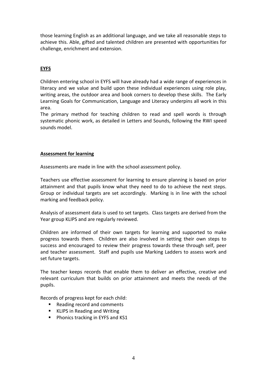those learning English as an additional language, and we take all reasonable steps to achieve this. Able, gifted and talented children are presented with opportunities for challenge, enrichment and extension.

## **EYFS**

Children entering school in EYFS will have already had a wide range of experiences in literacy and we value and build upon these individual experiences using role play, writing areas, the outdoor area and book corners to develop these skills. The Early Learning Goals for Communication, Language and Literacy underpins all work in this area.

The primary method for teaching children to read and spell words is through systematic phonic work, as detailed in Letters and Sounds, following the RWI speed sounds model.

## **Assessment for learning**

Assessments are made in line with the school assessment policy.

Teachers use effective assessment for learning to ensure planning is based on prior attainment and that pupils know what they need to do to achieve the next steps. Group or individual targets are set accordingly. Marking is in line with the school marking and feedback policy.

Analysis of assessment data is used to set targets. Class targets are derived from the Year group KLIPS and are regularly reviewed.

Children are informed of their own targets for learning and supported to make progress towards them. Children are also involved in setting their own steps to success and encouraged to review their progress towards these through self, peer and teacher assessment. Staff and pupils use Marking Ladders to assess work and set future targets.

The teacher keeps records that enable them to deliver an effective, creative and relevant curriculum that builds on prior attainment and meets the needs of the pupils.

Records of progress kept for each child:

- Reading record and comments
- KLIPS in Reading and Writing
- **Phonics tracking in EYFS and KS1**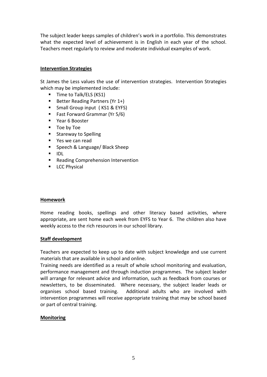The subject leader keeps samples of children's work in a portfolio. This demonstrates what the expected level of achievement is in English in each year of the school. Teachers meet regularly to review and moderate individual examples of work.

## **Intervention Strategies**

St James the Less values the use of intervention strategies. Intervention Strategies which may be implemented include:

- Time to Talk/ELS (KS1)
- Better Reading Partners (Yr  $1+$ )
- Small Group input (KS1 & EYFS)
- Fast Forward Grammar (Yr 5/6)
- **F** Year 6 Booster
- Toe by Toe
- **Stareway to Spelling**
- Yes we can read
- Speech & Language/ Black Sheep
- IDL
- **Reading Comprehension Intervention**
- **LCC Physical**

#### **Homework**

Home reading books, spellings and other literacy based activities, where appropriate, are sent home each week from EYFS to Year 6. The children also have weekly access to the rich resources in our school library.

#### **Staff development**

Teachers are expected to keep up to date with subject knowledge and use current materials that are available in school and online.

Training needs are identified as a result of whole school monitoring and evaluation, performance management and through induction programmes. The subject leader will arrange for relevant advice and information, such as feedback from courses or newsletters, to be disseminated. Where necessary, the subject leader leads or organises school based training. Additional adults who are involved with intervention programmes will receive appropriate training that may be school based or part of central training.

## **Monitoring**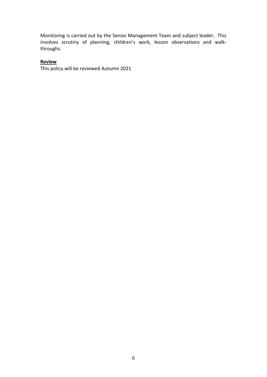Monitoring is carried out by the Senior Management Team and subject leader. This involves scrutiny of planning, children's work, lesson observations and walkthroughs.

## **Review**

This policy will be reviewed Autumn 2021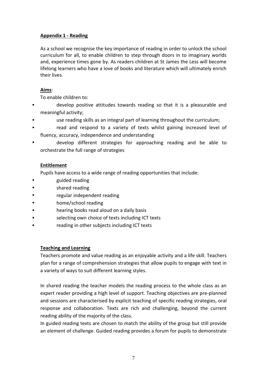## **Appendix 1 - Reading**

As a school we recognise the key importance of reading in order to unlock the school curriculum for all, to enable children to step through doors in to imaginary worlds and, experience times gone by. As readers children at St James the Less will become lifelong learners who have a love of books and literature which will ultimately enrich their lives.

## **Aims**:

To enable children to:

- develop positive attitudes towards reading so that it is a pleasurable and meaningful activity;
- use reading skills as an integral part of learning throughout the curriculum;
- read and respond to a variety of texts whilst gaining increased level of fluency, accuracy, independence and understanding
- develop different strategies for approaching reading and be able to orchestrate the full range of strategies

## **Entitlement**

Pupils have access to a wide range of reading opportunities that include:

- guided reading
- shared reading
- regular independent reading
- home/school reading
- hearing books read aloud on a daily basis
- selecting own choice of texts including ICT texts
- reading in other subjects including ICT texts

## **Teaching and Learning**

Teachers promote and value reading as an enjoyable activity and a life skill. Teachers plan for a range of comprehension strategies that allow pupils to engage with text in a variety of ways to suit different learning styles.

In shared reading the teacher models the reading process to the whole class as an expert reader providing a high level of support. Teaching objectives are pre-planned and sessions are characterised by explicit teaching of specific reading strategies, oral response and collaboration. Texts are rich and challenging, beyond the current reading ability of the majority of the class.

In guided reading texts are chosen to match the ability of the group but still provide an element of challenge. Guided reading provides a forum for pupils to demonstrate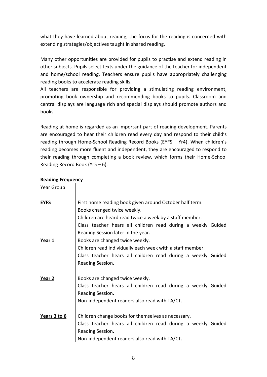what they have learned about reading; the focus for the reading is concerned with extending strategies/objectives taught in shared reading.

Many other opportunities are provided for pupils to practise and extend reading in other subjects. Pupils select texts under the guidance of the teacher for independent and home/school reading. Teachers ensure pupils have appropriately challenging reading books to accelerate reading skills.

All teachers are responsible for providing a stimulating reading environment, promoting book ownership and recommending books to pupils. Classroom and central displays are language rich and special displays should promote authors and books.

Reading at home is regarded as an important part of reading development. Parents are encouraged to hear their children read every day and respond to their child's reading through Home-School Reading Record Books (EYFS – Yr4). When children's reading becomes more fluent and independent, they are encouraged to respond to their reading through completing a book review, which forms their Home-School Reading Record Book (Yr5 – 6).

| Year Group        |                                                                                                                                                                                                                                                         |  |  |
|-------------------|---------------------------------------------------------------------------------------------------------------------------------------------------------------------------------------------------------------------------------------------------------|--|--|
| <b>EYFS</b>       | First home reading book given around October half term.<br>Books changed twice weekly.<br>Children are heard read twice a week by a staff member.<br>Class teacher hears all children read during a weekly Guided<br>Reading Session later in the year. |  |  |
| Year 1            | Books are changed twice weekly.<br>Children read individually each week with a staff member.<br>Class teacher hears all children read during a weekly Guided<br>Reading Session.                                                                        |  |  |
| Year <sub>2</sub> | Books are changed twice weekly.<br>Class teacher hears all children read during a weekly Guided<br>Reading Session.<br>Non-independent readers also read with TA/CT.                                                                                    |  |  |
| Years 3 to 6      | Children change books for themselves as necessary.<br>Class teacher hears all children read during a weekly Guided<br>Reading Session.<br>Non-independent readers also read with TA/CT.                                                                 |  |  |

## **Reading Frequency**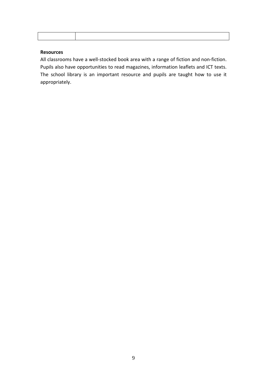## **Resources**

All classrooms have a well-stocked book area with a range of fiction and non-fiction. Pupils also have opportunities to read magazines, information leaflets and ICT texts. The school library is an important resource and pupils are taught how to use it appropriately.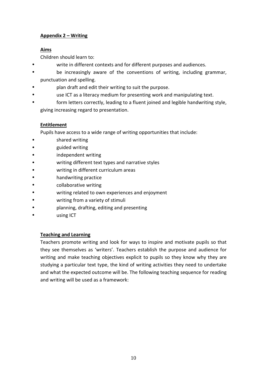## **Appendix 2 – Writing**

## **Aims**

Children should learn to:

- write in different contexts and for different purposes and audiences.
- be increasingly aware of the conventions of writing, including grammar, punctuation and spelling.
- plan draft and edit their writing to suit the purpose.
- use ICT as a literacy medium for presenting work and manipulating text.
- form letters correctly, leading to a fluent joined and legible handwriting style, giving increasing regard to presentation.

## **Entitlement**

Pupils have access to a wide range of writing opportunities that include:

- shared writing
- guided writing
- independent writing
- writing different text types and narrative styles
- writing in different curriculum areas
- handwriting practice
- collaborative writing
- writing related to own experiences and enjoyment
- writing from a variety of stimuli
- planning, drafting, editing and presenting
- using ICT

## **Teaching and Learning**

Teachers promote writing and look for ways to inspire and motivate pupils so that they see themselves as 'writers'. Teachers establish the purpose and audience for writing and make teaching objectives explicit to pupils so they know why they are studying a particular text type, the kind of writing activities they need to undertake and what the expected outcome will be. The following teaching sequence for reading and writing will be used as a framework: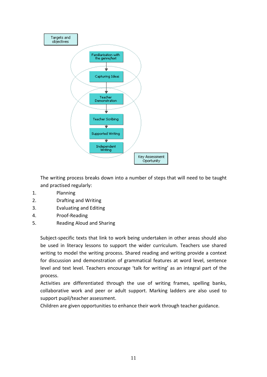

The writing process breaks down into a number of steps that will need to be taught and practised regularly:

- 1. Planning
- 2. Drafting and Writing
- 3. Evaluating and Editing
- 4. Proof-Reading
- 5. Reading Aloud and Sharing

Subject-specific texts that link to work being undertaken in other areas should also be used in literacy lessons to support the wider curriculum. Teachers use shared writing to model the writing process. Shared reading and writing provide a context for discussion and demonstration of grammatical features at word level, sentence level and text level. Teachers encourage 'talk for writing' as an integral part of the process.

Activities are differentiated through the use of writing frames, spelling banks, collaborative work and peer or adult support. Marking ladders are also used to support pupil/teacher assessment.

Children are given opportunities to enhance their work through teacher guidance.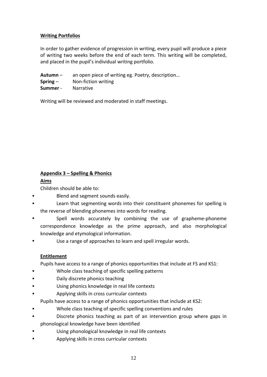## **Writing Portfolios**

In order to gather evidence of progression in writing, every pupil will produce a piece of writing two weeks before the end of each term. This writing will be completed, and placed in the pupil's individual writing portfolio.

**Autumn** – an open piece of writing eg. Poetry, description…

- **Spring** Non-fiction writing
- **Summer** Narrative

Writing will be reviewed and moderated in staff meetings.

# **Appendix 3 – Spelling & Phonics**

## **Aims**

Children should be able to:

- Blend and segment sounds easily.
- Learn that segmenting words into their constituent phonemes for spelling is the reverse of blending phonemes into words for reading.
- Spell words accurately by combining the use of grapheme-phoneme correspondence knowledge as the prime approach, and also morphological knowledge and etymological information.
- Use a range of approaches to learn and spell irregular words.

## **Entitlement**

Pupils have access to a range of phonics opportunities that include at FS and KS1:

- Whole class teaching of specific spelling patterns
- Daily discrete phonics teaching
- Using phonics knowledge in real life contexts
- Applying skills in cross curricular contexts

Pupils have access to a range of phonics opportunities that include at KS2:

- Whole class teaching of specific spelling conventions and rules
- Discrete phonics teaching as part of an intervention group where gaps in phonological knowledge have been identified
- Using phonological knowledge in real life contexts
- Applying skills in cross curricular contexts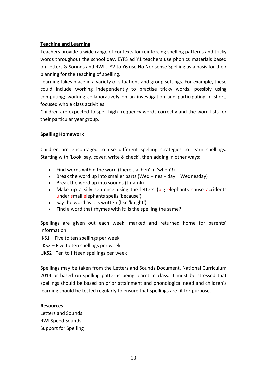## **Teaching and Learning**

Teachers provide a wide range of contexts for reinforcing spelling patterns and tricky words throughout the school day. EYFS ad Y1 teachers use phonics materials based on Letters & Sounds and RWI . Y2 to Y6 use No Nonsense Spelling as a basis for their planning for the teaching of spelling.

Learning takes place in a variety of situations and group settings. For example, these could include working independently to practise tricky words, possibly using computing; working collaboratively on an investigation and participating in short, focused whole class activities.

Children are expected to spell high frequency words correctly and the word lists for their particular year group.

## **Spelling Homework**

Children are encouraged to use different spelling strategies to learn spellings. Starting with 'Look, say, cover, write & check', then adding in other ways:

- Find words within the word (there's a 'hen' in 'when'!)
- $\bullet$  Break the word up into smaller parts (Wed + nes + day = Wednesday)
- Break the word up into sounds (th-a-nk)
- Make up a silly sentence using the letters (big elephants cause accidents under small elephants spells 'because')
- Say the word as it is written (like 'knight')
- Find a word that rhymes with it: is the spelling the same?

Spellings are given out each week, marked and returned home for parents' information.

KS1 – Five to ten spellings per week

LKS2 – Five to ten spellings per week

UKS2 –Ten to fifteen spellings per week

Spellings may be taken from the Letters and Sounds Document, National Curriculum 2014 or based on spelling patterns being learnt in class. It must be stressed that spellings should be based on prior attainment and phonological need and children's learning should be tested regularly to ensure that spellings are fit for purpose.

#### **Resources**

Letters and Sounds RWI Speed Sounds Support for Spelling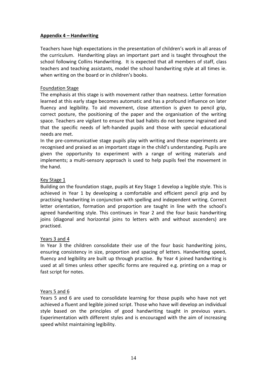## **Appendix 4 – Handwriting**

Teachers have high expectations in the presentation of children's work in all areas of the curriculum. Handwriting plays an important part and is taught throughout the school following Collins Handwriting. It is expected that all members of staff, class teachers and teaching assistants, model the school handwriting style at all times ie. when writing on the board or in children's books.

### Foundation Stage

The emphasis at this stage is with movement rather than neatness. Letter formation learned at this early stage becomes automatic and has a profound influence on later fluency and legibility. To aid movement, close attention is given to pencil grip, correct posture, the positioning of the paper and the organisation of the writing space. Teachers are vigilant to ensure that bad habits do not become ingrained and that the specific needs of left-handed pupils and those with special educational needs are met.

In the pre-communicative stage pupils play with writing and these experiments are recognised and praised as an important stage in the child's understanding. Pupils are given the opportunity to experiment with a range of writing materials and implements; a multi-sensory approach is used to help pupils feel the movement in the hand.

## Key Stage 1

Building on the foundation stage, pupils at Key Stage 1 develop a legible style. This is achieved in Year 1 by developing a comfortable and efficient pencil grip and by practising handwriting in conjunction with spelling and independent writing. Correct letter orientation, formation and proportion are taught in line with the school's agreed handwriting style. This continues in Year 2 and the four basic handwriting joins (diagonal and horizontal joins to letters with and without ascenders) are practised.

#### Years 3 and 4

In Year 3 the children consolidate their use of the four basic handwriting joins, ensuring consistency in size, proportion and spacing of letters. Handwriting speed, fluency and legibility are built up through practise. By Year 4 joined handwriting is used at all times unless other specific forms are required e.g. printing on a map or fast script for notes.

#### Years 5 and 6

Years 5 and 6 are used to consolidate learning for those pupils who have not yet achieved a fluent and legible joined script. Those who have will develop an individual style based on the principles of good handwriting taught in previous years. Experimentation with different styles and is encouraged with the aim of increasing speed whilst maintaining legibility.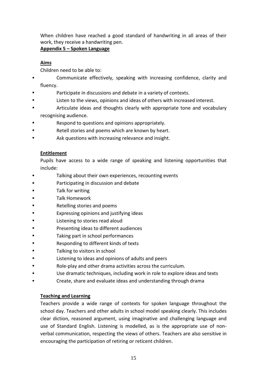When children have reached a good standard of handwriting in all areas of their work, they receive a handwriting pen.

## **Appendix 5 – Spoken Language**

## **Aims**

Children need to be able to:

- Communicate effectively, speaking with increasing confidence, clarity and fluency.
- Participate in discussions and debate in a variety of contexts.
- Listen to the views, opinions and ideas of others with increased interest.
- Articulate ideas and thoughts clearly with appropriate tone and vocabulary recognising audience.
- Respond to questions and opinions appropriately.
- Retell stories and poems which are known by heart.
- Ask questions with increasing relevance and insight.

## **Entitlement**

Pupils have access to a wide range of speaking and listening opportunities that include:

- Talking about their own experiences, recounting events
- Participating in discussion and debate
- Talk for writing
- Talk Homework
- Retelling stories and poems
- Expressing opinions and justifying ideas
- Listening to stories read aloud
- Presenting ideas to different audiences
- Taking part in school performances
- Responding to different kinds of texts
- Talking to visitors in school
- Listening to ideas and opinions of adults and peers
- Role-play and other drama activities across the curriculum.
- Use dramatic techniques, including work in role to explore ideas and texts
- Create, share and evaluate ideas and understanding through drama

## **Teaching and Learning**

Teachers provide a wide range of contexts for spoken language throughout the school day. Teachers and other adults in school model speaking clearly. This includes clear diction, reasoned argument, using imaginative and challenging language and use of Standard English. Listening is modelled, as is the appropriate use of nonverbal communication, respecting the views of others. Teachers are also sensitive in encouraging the participation of retiring or reticent children.